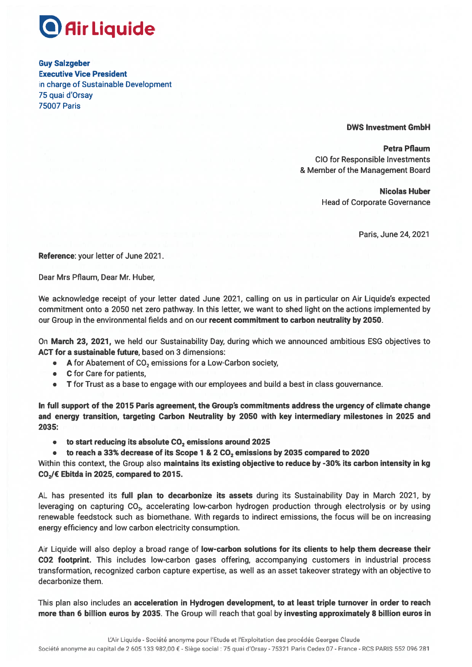

**Guy Salzgeber Executive Vice President** in charge of Sustainable Development 75 quai d'Orsav **75007 Paris** 

## **DWS Investment GmbH**

**Petra Pflaum CIO for Responsible Investments** & Member of the Management Board

> **Nicolas Huber Head of Corporate Governance**

> > Paris, June 24, 2021

Reference: your letter of June 2021.

Dear Mrs Pflaum, Dear Mr. Huber,

We acknowledge receipt of your letter dated June 2021, calling on us in particular on Air Liquide's expected commitment onto a 2050 net zero pathway. In this letter, we want to shed light on the actions implemented by our Group in the environmental fields and on our recent commitment to carbon neutrality by 2050.

On March 23, 2021, we held our Sustainability Day, during which we announced ambitious ESG objectives to ACT for a sustainable future, based on 3 dimensions:

- A for Abatement of  $CO<sub>2</sub>$  emissions for a Low-Carbon society,
- $\bullet$ C for Care for patients,
- T for Trust as a base to engage with our employees and build a best in class gouvernance.  $\bullet$

In full support of the 2015 Paris agreement, the Group's commitments address the urgency of climate change and energy transition, targeting Carbon Neutrality by 2050 with key intermediary milestones in 2025 and 2035:

- to start reducing its absolute  $CO<sub>2</sub>$  emissions around 2025  $\bullet$
- to reach a 33% decrease of its Scope 1 & 2 CO<sub>2</sub> emissions by 2035 compared to 2020

Within this context, the Group also maintains its existing objective to reduce by -30% its carbon intensity in kg  $CO<sub>2</sub>/\epsilon$  Ebitda in 2025, compared to 2015.

AL has presented its full plan to decarbonize its assets during its Sustainability Day in March 2021, by leveraging on capturing CO<sub>2</sub>, accelerating low-carbon hydrogen production through electrolysis or by using renewable feedstock such as biomethane. With regards to indirect emissions, the focus will be on increasing energy efficiency and low carbon electricity consumption.

Air Liquide will also deploy a broad range of low-carbon solutions for its clients to help them decrease their CO2 footprint. This includes low-carbon gases offering, accompanying customers in industrial process transformation, recognized carbon capture expertise, as well as an asset takeover strategy with an objective to decarbonize them.

This plan also includes an acceleration in Hydrogen development, to at least triple turnover in order to reach more than 6 billion euros by 2035. The Group will reach that goal by investing approximately 8 billion euros in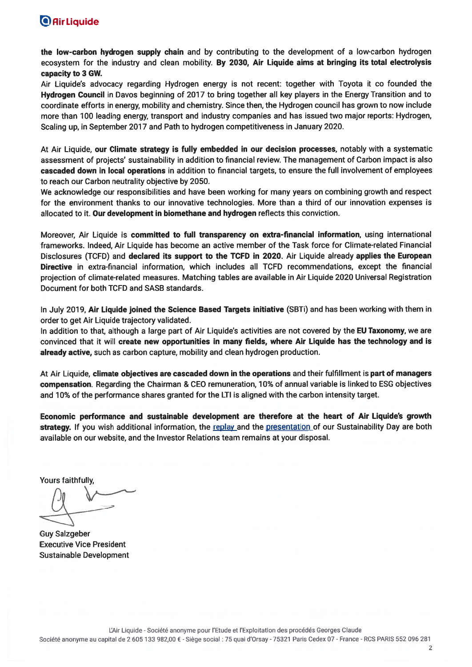## **O** Air Liquide

the low-carbon hydrogen supply chain and by contributing to the development of a low-carbon hydrogen ecosystem for the industry and clean mobility. By 2030, Air Liquide aims at bringing its total electrolysis capacity to 3 GW.

Air Liquide's advocacy regarding Hydrogen energy is not recent: together with Toyota it co founded the Hydrogen Council in Davos beginning of 2017 to bring together all key players in the Energy Transition and to coordinate efforts in energy, mobility and chemistry. Since then, the Hydrogen council has grown to now include more than 100 leading energy, transport and industry companies and has issued two major reports: Hydrogen, Scaling up, in September 2017 and Path to hydrogen competitiveness in January 2020.

At Air Liquide, our Climate strategy is fully embedded in our decision processes, notably with a systematic assessment of projects' sustainability in addition to financial review. The management of Carbon impact is also cascaded down in local operations in addition to financial targets, to ensure the full involvement of employees to reach our Carbon neutrality objective by 2050.

We acknowledge our responsibilities and have been working for many years on combining growth and respect for the environment thanks to our innovative technologies. More than a third of our innovation expenses is allocated to it. Our development in biomethane and hydrogen reflects this conviction.

Moreover, Air Liquide is committed to full transparency on extra-financial information, using international frameworks. Indeed, Air Liquide has become an active member of the Task force for Climate-related Financial Disclosures (TCFD) and declared its support to the TCFD in 2020. Air Liquide already applies the European Directive in extra-financial information, which includes all TCFD recommendations, except the financial projection of climate-related measures. Matching tables are available in Air Liquide 2020 Universal Registration Document for both TCFD and SASB standards.

In July 2019, Air Liquide joined the Science Based Targets initiative (SBTi) and has been working with them in order to get Air Liquide trajectory validated.

In addition to that, although a large part of Air Liquide's activities are not covered by the EU Taxonomy, we are convinced that it will create new opportunities in many fields, where Air Liquide has the technology and is already active, such as carbon capture, mobility and clean hydrogen production.

At Air Liquide, climate objectives are cascaded down in the operations and their fulfillment is part of managers compensation. Regarding the Chairman & CEO remuneration, 10% of annual variable is linked to ESG objectives and 10% of the performance shares granted for the LTI is aligned with the carbon intensity target.

Economic performance and sustainable development are therefore at the heart of Air Liquide's growth strategy. If you wish additional information, the replay and the presentation of our Sustainability Day are both available on our website, and the Investor Relations team remains at your disposal.

**Yours faithfully** 

**Guy Salzgeber Executive Vice President Sustainable Development**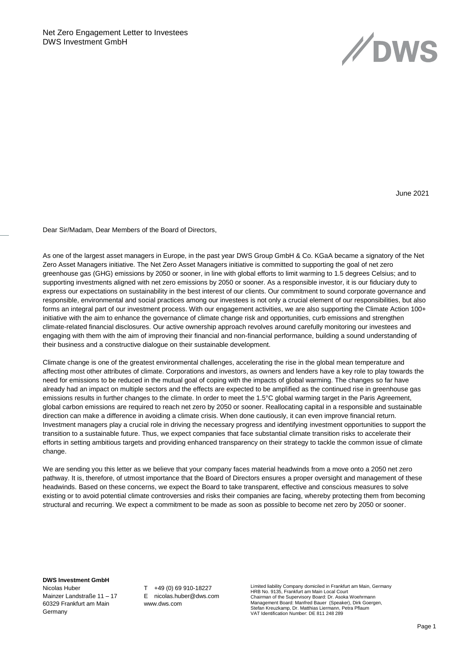

June 2021

Dear Sir/Madam, Dear Members of the Board of Directors,

As one of the largest asset managers in Europe, in the past year DWS Group GmbH & Co. KGaA became a signatory of the Net Zero Asset Managers initiative. The Net Zero Asset Managers initiative is committed to supporting the goal of net zero greenhouse gas (GHG) emissions by 2050 or sooner, in line with global efforts to limit warming to 1.5 degrees Celsius; and to supporting investments aligned with net zero emissions by 2050 or sooner. As a responsible investor, it is our fiduciary duty to express our expectations on sustainability in the best interest of our clients. Our commitment to sound corporate governance and responsible, environmental and social practices among our investees is not only a crucial element of our responsibilities, but also forms an integral part of our investment process. With our engagement activities, we are also supporting the Climate Action 100+ initiative with the aim to enhance the governance of climate change risk and opportunities, curb emissions and strengthen climate-related financial disclosures. Our active ownership approach revolves around carefully monitoring our investees and engaging with them with the aim of improving their financial and non-financial performance, building a sound understanding of their business and a constructive dialogue on their sustainable development.

Climate change is one of the greatest environmental challenges, accelerating the rise in the global mean temperature and affecting most other attributes of climate. Corporations and investors, as owners and lenders have a key role to play towards the need for emissions to be reduced in the mutual goal of coping with the impacts of global warming. The changes so far have already had an impact on multiple sectors and the effects are expected to be amplified as the continued rise in greenhouse gas emissions results in further changes to the climate. In order to meet the 1.5°C global warming target in the Paris Agreement, global carbon emissions are required to reach net zero by 2050 or sooner. Reallocating capital in a responsible and sustainable direction can make a difference in avoiding a climate crisis. When done cautiously, it can even improve financial return. Investment managers play a crucial role in driving the necessary progress and identifying investment opportunities to support the transition to a sustainable future. Thus, we expect companies that face substantial climate transition risks to accelerate their efforts in setting ambitious targets and providing enhanced transparency on their strategy to tackle the common issue of climate change.

We are sending you this letter as we believe that your company faces material headwinds from a move onto a 2050 net zero pathway. It is, therefore, of utmost importance that the Board of Directors ensures a proper oversight and management of these headwinds. Based on these concerns, we expect the Board to take transparent, effective and conscious measures to solve existing or to avoid potential climate controversies and risks their companies are facing, whereby protecting them from becoming structural and recurring. We expect a commitment to be made as soon as possible to become net zero by 2050 or sooner.

## **DWS Investment GmbH**

Nicolas Huber Mainzer Landstraße 11 – 17 60329 Frankfurt am Main Germany

T +49 (0) 69 910-18227 E nicolas.huber@dws.com www.dws.com

Limited liability Company domiciled in Frankfurt am Main, Germany HRB No. 9135, Frankfurt am Main Local Court Chairman of the Supervisory Board: Dr. Asoka Woehrmann Management Board: Manfred Bauer (Speaker), Dirk Goergen, Stefan Kreuzkamp, Dr. Matthias Liermann, Petra Pflaum VAT Identification Number: DE 811 248 289